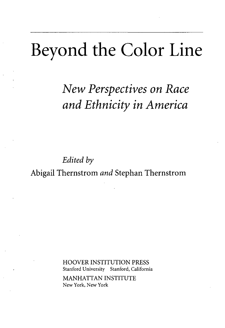## Beyond the Color Line

*New Perspectives on Race and Ethnicity in America*

*Edited by* Abigail Thernstrom *and* Stephan Thernstrom

> HOOVER INSTITUTION PRESS Stanford University Stanford, California MANHATTAN INSTITUTE New York, New York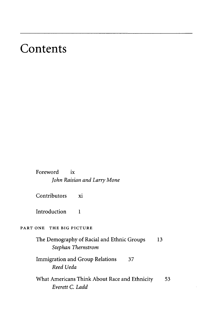## Contents

Foreword ix John Raisian and Larry Mone

Contributors xi

Introduction  $\mathbf{1}$ 

## PART ONE THE BIG PICTURE

The Demography of Racial and Ethnic Groups 13 *Stephan Thernstrom*

Immigration and Group Relations 37 *Reed Ueda*

What Americans Think About Race and Ethnicity 53 *Everett C. Ladd*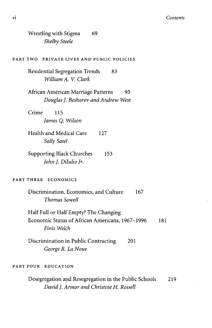ï

| <b>Shelby Steele</b>                                                                                           |     |
|----------------------------------------------------------------------------------------------------------------|-----|
| PART TWO PRIVATE LIVES AND PUBLIC POLICIES                                                                     |     |
| Residential Segregation Trends<br>83<br>William A. V. Clark                                                    |     |
| African American Marriage Patterns<br>95<br>Douglas J. Besharov and Andrew West                                |     |
| Crime<br>115<br>James Q. Wilson                                                                                |     |
| Health and Medical Care<br>127<br>Sally Satel                                                                  |     |
| <b>Supporting Black Churches</b><br>153<br>John J. DiIulio Jr.                                                 |     |
| PART THREE ECONOMICS                                                                                           |     |
| Discrimination, Economics, and Culture<br>167<br>Thomas Sowell                                                 |     |
| Half Full or Half Empty? The Changing<br>Economic Status of African Americans, 1967-1996<br>181<br>Finis Welch |     |
| Discrimination in Public Contracting<br>201<br>George R. La Noue                                               |     |
| PART FOUR EDUCATION                                                                                            |     |
| Desegregation and Resegregation in the Public Schools<br>David J. Armor and Christine H. Rossell               | 219 |

Wrestling with Stigma 69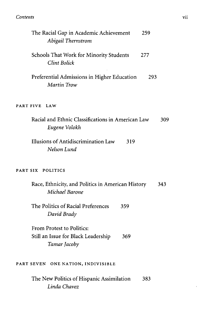## *Contents* vii

| The Racial Gap in Academic Achievement<br>259<br>Abigail Thernstrom                     |  |
|-----------------------------------------------------------------------------------------|--|
| Schools That Work for Minority Students<br>277<br><b>Clint Bolick</b>                   |  |
| Preferential Admissions in Higher Education<br>293<br>Martin Trow                       |  |
| PART FIVE LAW                                                                           |  |
| Racial and Ethnic Classifications in American Law<br>309<br>Eugene Volokh               |  |
| Illusions of Antidiscrimination Law<br>319<br>Nelson Lund                               |  |
| PART SIX POLITICS                                                                       |  |
| Race, Ethnicity, and Politics in American History<br>343<br>Michael Barone              |  |
| The Politics of Racial Preferences<br>359<br>David Brady                                |  |
| From Protest to Politics:<br>Still an Issue for Black Leadership<br>369<br>Tamar Jacoby |  |
| PART SEVEN ONE NATION, INDIVISIBLE                                                      |  |
| The New Politics of Hispanic Assimilation<br>383<br>Linda Chavez                        |  |

 $\epsilon$